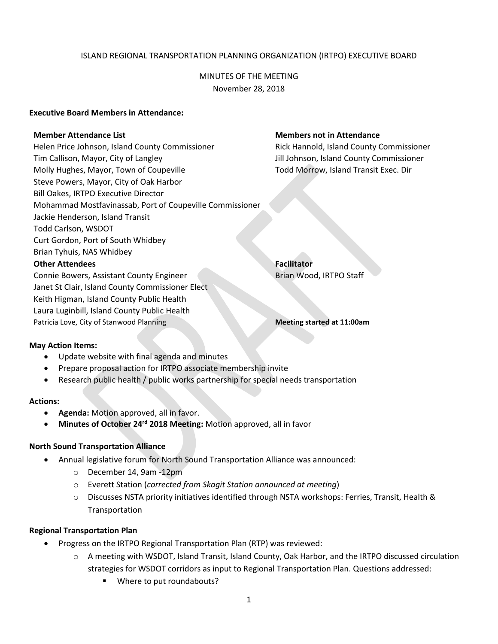## ISLAND REGIONAL TRANSPORTATION PLANNING ORGANIZATION (IRTPO) EXECUTIVE BOARD

MINUTES OF THE MEETING November 28, 2018

### **Executive Board Members in Attendance:**

Helen Price Johnson, Island County Commissioner Rick Hannold, Island County Commissioner Tim Callison, Mayor, City of Langley Jill Johnson, Island County Commissioner Molly Hughes, Mayor, Town of Coupeville Town Todd Morrow, Island Transit Exec. Dir Steve Powers, Mayor, City of Oak Harbor Bill Oakes, IRTPO Executive Director Mohammad Mostfavinassab, Port of Coupeville Commissioner Jackie Henderson, Island Transit Todd Carlson, WSDOT Curt Gordon, Port of South Whidbey Brian Tyhuis, NAS Whidbey **Other Attendees Facilitator** Connie Bowers, Assistant County Engineer **Brian Wood, IRTPO Staff** 

#### **Member Attendance List Members not in Attendance**

Janet St Clair, Island County Commissioner Elect Keith Higman, Island County Public Health Laura Luginbill, Island County Public Health Patricia Love, City of Stanwood Planning **Meeting started at 11:00am** 

#### **May Action Items:**

- Update website with final agenda and minutes
- Prepare proposal action for IRTPO associate membership invite
- Research public health / public works partnership for special needs transportation

#### **Actions:**

- **Agenda:** Motion approved, all in favor.
	- **Minutes of October 24rd 2018 Meeting:** Motion approved, all in favor

#### **North Sound Transportation Alliance**

- Annual legislative forum for North Sound Transportation Alliance was announced:
	- o December 14, 9am -12pm
	- o Everett Station (*corrected from Skagit Station announced at meeting*)
	- o Discusses NSTA priority initiatives identified through NSTA workshops: Ferries, Transit, Health & Transportation

#### **Regional Transportation Plan**

- Progress on the IRTPO Regional Transportation Plan (RTP) was reviewed:
	- o A meeting with WSDOT, Island Transit, Island County, Oak Harbor, and the IRTPO discussed circulation strategies for WSDOT corridors as input to Regional Transportation Plan. Questions addressed:
		- Where to put roundabouts?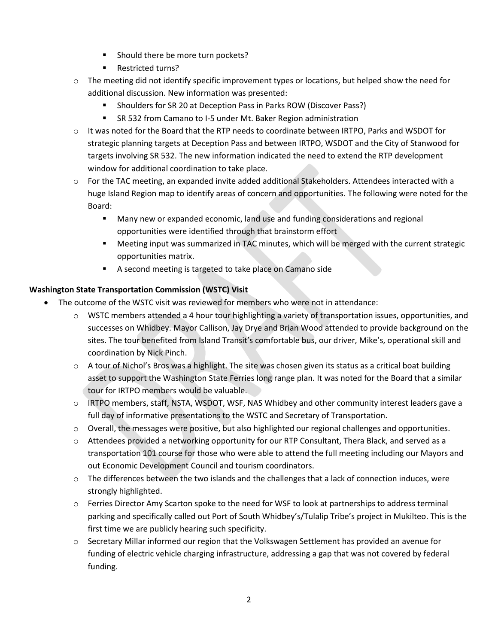- Should there be more turn pockets?
- Restricted turns?
- $\circ$  The meeting did not identify specific improvement types or locations, but helped show the need for additional discussion. New information was presented:
	- Shoulders for SR 20 at Deception Pass in Parks ROW (Discover Pass?)
	- SR 532 from Camano to I-5 under Mt. Baker Region administration
- o It was noted for the Board that the RTP needs to coordinate between IRTPO, Parks and WSDOT for strategic planning targets at Deception Pass and between IRTPO, WSDOT and the City of Stanwood for targets involving SR 532. The new information indicated the need to extend the RTP development window for additional coordination to take place.
- $\circ$  For the TAC meeting, an expanded invite added additional Stakeholders. Attendees interacted with a huge Island Region map to identify areas of concern and opportunities. The following were noted for the Board:
	- Many new or expanded economic, land use and funding considerations and regional opportunities were identified through that brainstorm effort
	- Meeting input was summarized in TAC minutes, which will be merged with the current strategic opportunities matrix.
	- A second meeting is targeted to take place on Camano side

# **Washington State Transportation Commission (WSTC) Visit**

- The outcome of the WSTC visit was reviewed for members who were not in attendance:
	- $\circ$  WSTC members attended a 4 hour tour highlighting a variety of transportation issues, opportunities, and successes on Whidbey. Mayor Callison, Jay Drye and Brian Wood attended to provide background on the sites. The tour benefited from Island Transit's comfortable bus, our driver, Mike's, operational skill and coordination by Nick Pinch.
	- $\circ$  A tour of Nichol's Bros was a highlight. The site was chosen given its status as a critical boat building asset to support the Washington State Ferries long range plan. It was noted for the Board that a similar tour for IRTPO members would be valuable.
	- $\circ$  IRTPO members, staff, NSTA, WSDOT, WSF, NAS Whidbey and other community interest leaders gave a full day of informative presentations to the WSTC and Secretary of Transportation.
	- o Overall, the messages were positive, but also highlighted our regional challenges and opportunities.
	- $\circ$  Attendees provided a networking opportunity for our RTP Consultant, Thera Black, and served as a transportation 101 course for those who were able to attend the full meeting including our Mayors and out Economic Development Council and tourism coordinators.
	- $\circ$  The differences between the two islands and the challenges that a lack of connection induces, were strongly highlighted.
	- o Ferries Director Amy Scarton spoke to the need for WSF to look at partnerships to address terminal parking and specifically called out Port of South Whidbey's/Tulalip Tribe's project in Mukilteo. This is the first time we are publicly hearing such specificity.
	- o Secretary Millar informed our region that the Volkswagen Settlement has provided an avenue for funding of electric vehicle charging infrastructure, addressing a gap that was not covered by federal funding.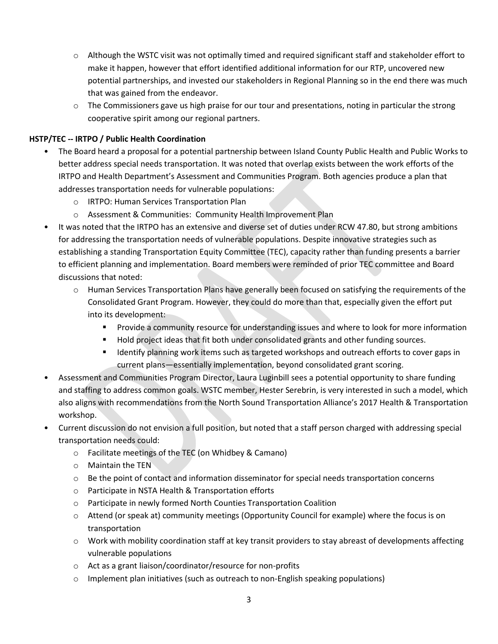- $\circ$  Although the WSTC visit was not optimally timed and required significant staff and stakeholder effort to make it happen, however that effort identified additional information for our RTP, uncovered new potential partnerships, and invested our stakeholders in Regional Planning so in the end there was much that was gained from the endeavor.
- $\circ$  The Commissioners gave us high praise for our tour and presentations, noting in particular the strong cooperative spirit among our regional partners.

# **HSTP/TEC -- IRTPO / Public Health Coordination**

- The Board heard a proposal for a potential partnership between Island County Public Health and Public Works to better address special needs transportation. It was noted that overlap exists between the work efforts of the IRTPO and Health Department's Assessment and Communities Program. Both agencies produce a plan that addresses transportation needs for vulnerable populations:
	- o IRTPO: Human Services Transportation Plan
	- o Assessment & Communities: Community Health Improvement Plan
- It was noted that the IRTPO has an extensive and diverse set of duties under RCW 47.80, but strong ambitions for addressing the transportation needs of vulnerable populations. Despite innovative strategies such as establishing a standing Transportation Equity Committee (TEC), capacity rather than funding presents a barrier to efficient planning and implementation. Board members were reminded of prior TEC committee and Board discussions that noted:
	- o Human Services Transportation Plans have generally been focused on satisfying the requirements of the Consolidated Grant Program. However, they could do more than that, especially given the effort put into its development:
		- Provide a community resource for understanding issues and where to look for more information
		- **Hold project ideas that fit both under consolidated grants and other funding sources.**
		- Identify planning work items such as targeted workshops and outreach efforts to cover gaps in current plans—essentially implementation, beyond consolidated grant scoring.
- Assessment and Communities Program Director, Laura Luginbill sees a potential opportunity to share funding and staffing to address common goals. WSTC member, Hester Serebrin, is very interested in such a model, which also aligns with recommendations from the North Sound Transportation Alliance's 2017 Health & Transportation workshop.
- Current discussion do not envision a full position, but noted that a staff person charged with addressing special transportation needs could:
	- o Facilitate meetings of the TEC (on Whidbey & Camano)
	- o Maintain the TEN
	- $\circ$  Be the point of contact and information disseminator for special needs transportation concerns
	- o Participate in NSTA Health & Transportation efforts
	- o Participate in newly formed North Counties Transportation Coalition
	- $\circ$  Attend (or speak at) community meetings (Opportunity Council for example) where the focus is on transportation
	- $\circ$  Work with mobility coordination staff at key transit providers to stay abreast of developments affecting vulnerable populations
	- o Act as a grant liaison/coordinator/resource for non-profits
	- $\circ$  Implement plan initiatives (such as outreach to non-English speaking populations)